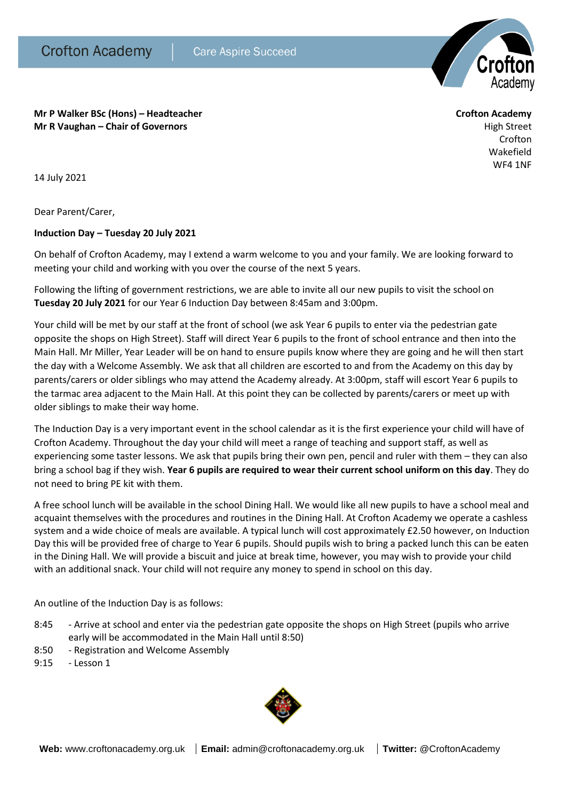

**Mr P Walker BSc (Hons) – Headteacher Crofton Academy Mr R Vaughan – Chair of Governors High Street High Street High Street High Street** 

Crofton Wakefield WF4 1NF

14 July 2021

Dear Parent/Carer,

## **Induction Day – Tuesday 20 July 2021**

On behalf of Crofton Academy, may I extend a warm welcome to you and your family. We are looking forward to meeting your child and working with you over the course of the next 5 years.

Following the lifting of government restrictions, we are able to invite all our new pupils to visit the school on **Tuesday 20 July 2021** for our Year 6 Induction Day between 8:45am and 3:00pm.

Your child will be met by our staff at the front of school (we ask Year 6 pupils to enter via the pedestrian gate opposite the shops on High Street). Staff will direct Year 6 pupils to the front of school entrance and then into the Main Hall. Mr Miller, Year Leader will be on hand to ensure pupils know where they are going and he will then start the day with a Welcome Assembly. We ask that all children are escorted to and from the Academy on this day by parents/carers or older siblings who may attend the Academy already. At 3:00pm, staff will escort Year 6 pupils to the tarmac area adjacent to the Main Hall. At this point they can be collected by parents/carers or meet up with older siblings to make their way home.

The Induction Day is a very important event in the school calendar as it is the first experience your child will have of Crofton Academy. Throughout the day your child will meet a range of teaching and support staff, as well as experiencing some taster lessons. We ask that pupils bring their own pen, pencil and ruler with them – they can also bring a school bag if they wish. **Year 6 pupils are required to wear their current school uniform on this day**. They do not need to bring PE kit with them.

A free school lunch will be available in the school Dining Hall. We would like all new pupils to have a school meal and acquaint themselves with the procedures and routines in the Dining Hall. At Crofton Academy we operate a cashless system and a wide choice of meals are available. A typical lunch will cost approximately £2.50 however, on Induction Day this will be provided free of charge to Year 6 pupils. Should pupils wish to bring a packed lunch this can be eaten in the Dining Hall. We will provide a biscuit and juice at break time, however, you may wish to provide your child with an additional snack. Your child will not require any money to spend in school on this day.

An outline of the Induction Day is as follows:

- 8:45 Arrive at school and enter via the pedestrian gate opposite the shops on High Street (pupils who arrive early will be accommodated in the Main Hall until 8:50)
- 8:50 Registration and Welcome Assembly
- 9:15 Lesson 1